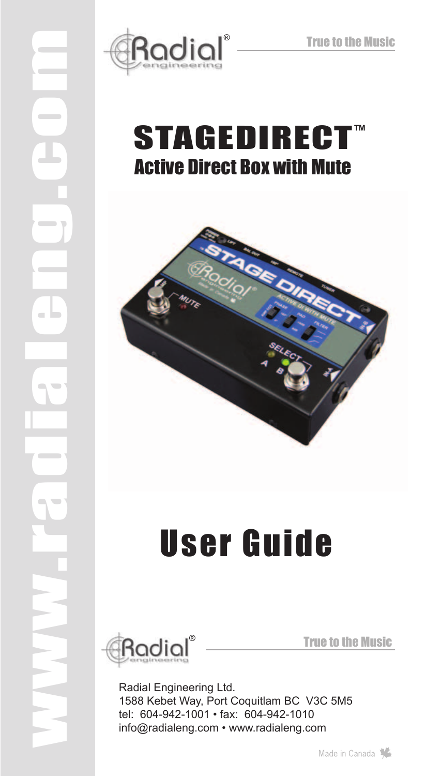

# STAGEDIRECT<sup>®</sup> Active Direct Box with Mute



# User Guide



www.radialeng.com

True to the Music

Radial Engineering Ltd. 1588 Kebet Way, Port Coquitlam BC V3C 5M5 tel: 604-942-1001 • fax: 604-942-1010 info@radialeng.com • www.radialeng.com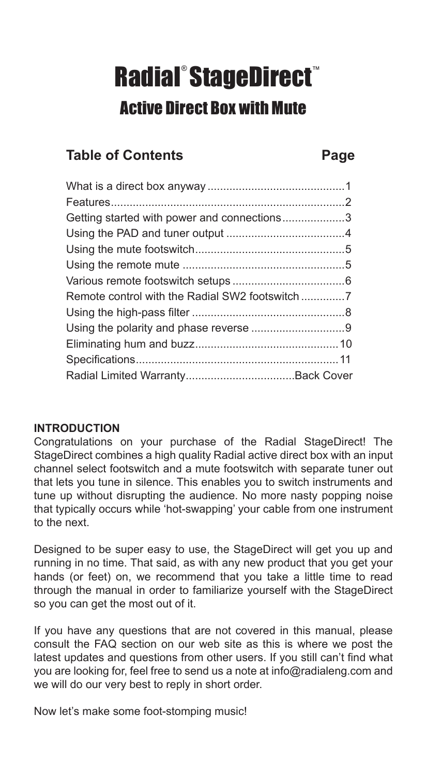# Radial®StageDirect® Active Direct Box with Mute

# **Table of Contents Page**

| Getting started with power and connections3 |  |
|---------------------------------------------|--|
|                                             |  |
|                                             |  |
|                                             |  |
|                                             |  |
|                                             |  |
|                                             |  |
|                                             |  |
|                                             |  |
|                                             |  |
|                                             |  |
|                                             |  |

## **Introduction**

Congratulations on your purchase of the Radial StageDirect! The StageDirect combines a high quality Radial active direct box with an input channel select footswitch and a mute footswitch with separate tuner out that lets you tune in silence. This enables you to switch instruments and tune up without disrupting the audience. No more nasty popping noise that typically occurs while 'hot-swapping' your cable from one instrument to the next.

Designed to be super easy to use, the StageDirect will get you up and running in no time. That said, as with any new product that you get your hands (or feet) on, we recommend that you take a little time to read through the manual in order to familiarize yourself with the StageDirect so you can get the most out of it.

If you have any questions that are not covered in this manual, please consult the FAQ section on our web site as this is where we post the latest updates and questions from other users. If you still can't find what you are looking for, feel free to send us a note at info@radialeng.com and we will do our very best to reply in short order.

Now let's make some foot-stomping music!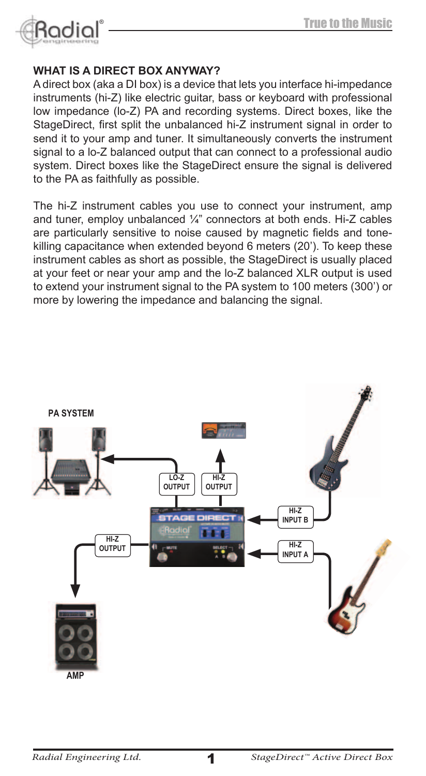

# **WHAT IS A dIrECT BoX AnYWAY?**

A direct box (aka a DI box) is a device that lets you interface hi-impedance instruments (hi-Z) like electric guitar, bass or keyboard with professional low impedance (lo-Z) PA and recording systems. Direct boxes, like the StageDirect, first split the unbalanced hi-Z instrument signal in order to send it to your amp and tuner. It simultaneously converts the instrument signal to a lo-Z balanced output that can connect to a professional audio system. Direct boxes like the StageDirect ensure the signal is delivered to the PA as faithfully as possible.

The hi-Z instrument cables you use to connect your instrument, amp and tuner, employ unbalanced ¼" connectors at both ends. Hi-Z cables are particularly sensitive to noise caused by magnetic fields and tonekilling capacitance when extended beyond 6 meters (20'). To keep these instrument cables as short as possible, the StageDirect is usually placed at your feet or near your amp and the lo-Z balanced XLR output is used to extend your instrument signal to the PA system to 100 meters (300') or more by lowering the impedance and balancing the signal.

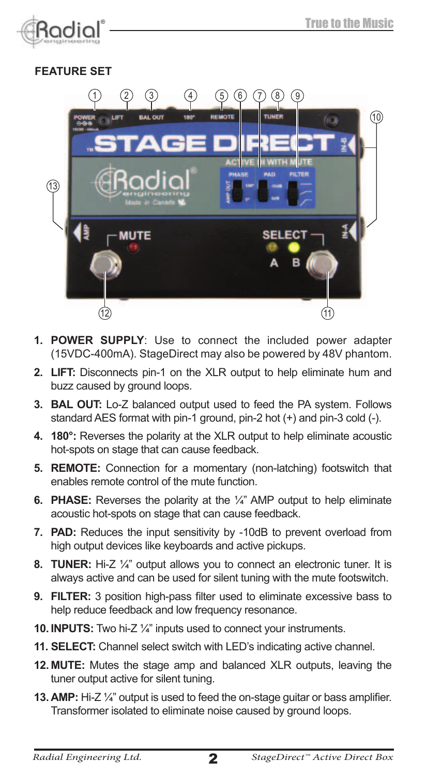

# **FEATURE SET**



- **1. POWER SUPPLY**: Use to connect the included power adapter (15VDC-400mA). StageDirect may also be powered by 48V phantom.
- **2. LIFT:** Disconnects pin-1 on the XLR output to help eliminate hum and buzz caused by ground loops.
- **3. BAL OUT:** Lo-Z balanced output used to feed the PA system. Follows standard AES format with pin-1 ground, pin-2 hot (+) and pin-3 cold (-).
- **4. 180°:** Reverses the polarity at the XLR output to help eliminate acoustic hot-spots on stage that can cause feedback.
- **5. REMOTE:** Connection for a momentary (non-latching) footswitch that enables remote control of the mute function.
- **6. PHASE:** Reverses the polarity at the ¼" AMP output to help eliminate acoustic hot-spots on stage that can cause feedback.
- **7. PAD:** Reduces the input sensitivity by -10dB to prevent overload from high output devices like keyboards and active pickups.
- **8. TUNER:** Hi-Z ¼" output allows you to connect an electronic tuner. It is always active and can be used for silent tuning with the mute footswitch.
- **9. FILTER:** 3 position high-pass filter used to eliminate excessive bass to help reduce feedback and low frequency resonance.
- **10. INPUTS:** Two hi-Z ¼" inputs used to connect your instruments.
- **11. SELECT:** Channel select switch with LED's indicating active channel.
- **12. MUTE:** Mutes the stage amp and balanced XLR outputs, leaving the tuner output active for silent tuning.
- **13. AMP:** Hi-Z ¼" output is used to feed the on-stage guitar or bass amplifier. Transformer isolated to eliminate noise caused by ground loops.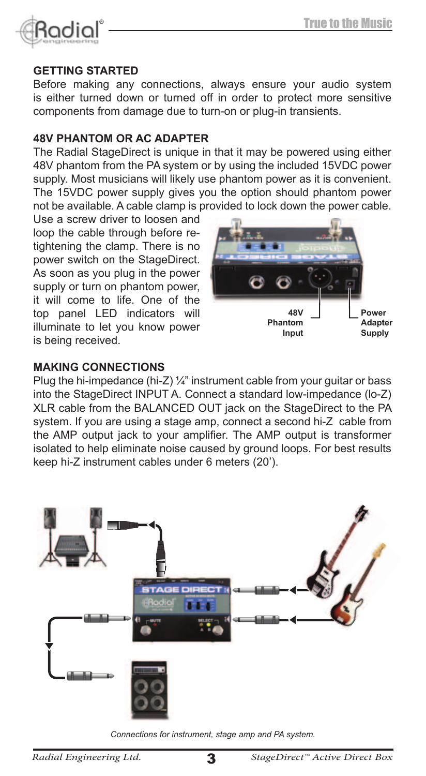

#### **GETTING STARTED**

Before making any connections, always ensure your audio system is either turned down or turned off in order to protect more sensitive components from damage due to turn-on or plug-in transients.

#### **48V PHAnToM or AC AdAPTEr**

The Radial StageDirect is unique in that it may be powered using either 48V phantom from the PA system or by using the included 15VDC power supply. Most musicians will likely use phantom power as it is convenient. The 15VDC power supply gives you the option should phantom power not be available. A cable clamp is provided to lock down the power cable.

Use a screw driver to loosen and loop the cable through before retightening the clamp. There is no power switch on the StageDirect. As soon as you plug in the power supply or turn on phantom power, it will come to life. One of the top panel LED indicators will illuminate to let you know power is being received.



#### **MAKInG ConnECTIonS**

Plug the hi-impedance (hi-Z) ¼" instrument cable from your guitar or bass into the StageDirect INPUT A. Connect a standard low-impedance (lo-Z) XLR cable from the BALANCED OUT jack on the StageDirect to the PA system. If you are using a stage amp, connect a second hi-Z cable from the AMP output jack to your amplifier. The AMP output is transformer isolated to help eliminate noise caused by ground loops. For best results keep hi-Z instrument cables under 6 meters (20').



*Connections for instrument, stage amp and PA system.*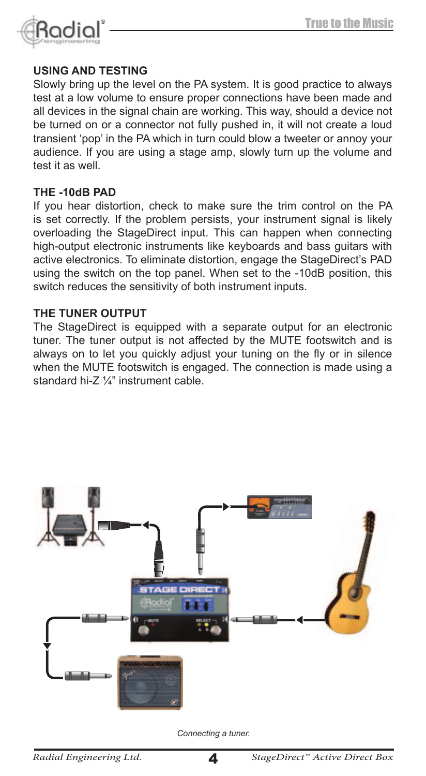

#### **uSInG And TESTInG**

Slowly bring up the level on the PA system. It is good practice to always test at a low volume to ensure proper connections have been made and all devices in the signal chain are working. This way, should a device not be turned on or a connector not fully pushed in, it will not create a loud transient 'pop' in the PA which in turn could blow a tweeter or annoy your audience. If you are using a stage amp, slowly turn up the volume and test it as well.

#### **THE -10dB PAd**

If you hear distortion, check to make sure the trim control on the PA is set correctly. If the problem persists, your instrument signal is likely overloading the StageDirect input. This can happen when connecting high-output electronic instruments like keyboards and bass guitars with active electronics. To eliminate distortion, engage the StageDirect's PAD using the switch on the top panel. When set to the -10dB position, this switch reduces the sensitivity of both instrument inputs.

#### **THE TunEr ouTPuT**

The StageDirect is equipped with a separate output for an electronic tuner. The tuner output is not affected by the MUTE footswitch and is always on to let you quickly adjust your tuning on the fly or in silence when the MUTE footswitch is engaged. The connection is made using a standard hi-Z ¼" instrument cable.



*Connecting a tuner.*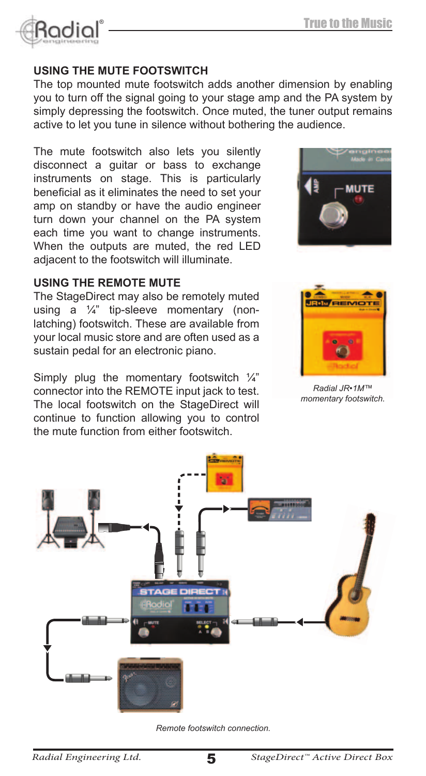

# **uSInG THE MuTE FooTSWITCH**

The top mounted mute footswitch adds another dimension by enabling you to turn off the signal going to your stage amp and the PA system by simply depressing the footswitch. Once muted, the tuner output remains active to let you tune in silence without bothering the audience.

The mute footswitch also lets you silently disconnect a guitar or bass to exchange instruments on stage. This is particularly beneficial as it eliminates the need to set your amp on standby or have the audio engineer turn down your channel on the PA system each time you want to change instruments. When the outputs are muted, the red LED adjacent to the footswitch will illuminate.

# **uSInG THE rEMoTE MuTE**

The StageDirect may also be remotely muted using a ¼" tip-sleeve momentary (nonlatching) footswitch. These are available from your local music store and are often used as a sustain pedal for an electronic piano.

Simply plug the momentary footswitch  $\frac{1}{4}$ " connector into the REMOTE input jack to test. The local footswitch on the StageDirect will continue to function allowing you to control the mute function from either footswitch.





*Radial JR•1M™ momentary footswitch.*



*Remote footswitch connection.*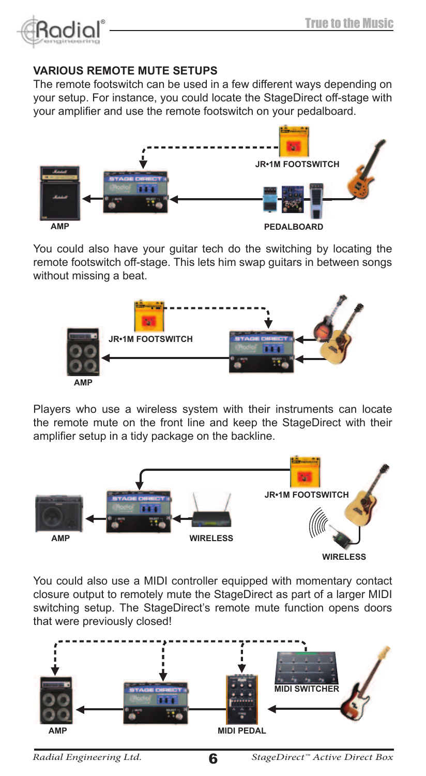

## **VArIouS rEMoTE MuTE SETuPS**

The remote footswitch can be used in a few different ways depending on your setup. For instance, you could locate the StageDirect off-stage with your amplifier and use the remote footswitch on your pedalboard.



You could also have your quitar tech do the switching by locating the remote footswitch off-stage. This lets him swap guitars in between songs without missing a beat.



Players who use a wireless system with their instruments can locate the remote mute on the front line and keep the StageDirect with their amplifier setup in a tidy package on the backline.



You could also use a MIDI controller equipped with momentary contact closure output to remotely mute the StageDirect as part of a larger MIDI switching setup. The StageDirect's remote mute function opens doors that were previously closed!

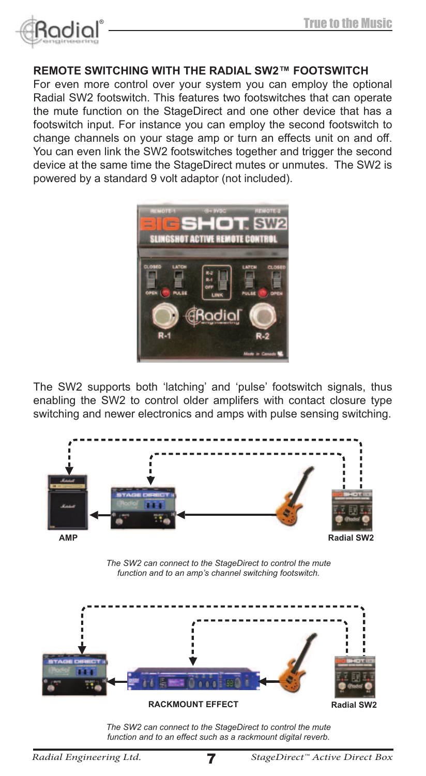

# **rEMoTE SWITCHInG WITH THE rAdIAL SW2™ FooTSWITCH**

For even more control over your system you can employ the optional Radial SW2 footswitch. This features two footswitches that can operate the mute function on the StageDirect and one other device that has a footswitch input. For instance you can employ the second footswitch to change channels on your stage amp or turn an effects unit on and off. You can even link the SW2 footswitches together and trigger the second device at the same time the StageDirect mutes or unmutes. The SW2 is powered by a standard 9 volt adaptor (not included).



The SW2 supports both 'latching' and 'pulse' footswitch signals, thus enabling the SW2 to control older amplifers with contact closure type switching and newer electronics and amps with pulse sensing switching.



*The SW2 can connect to the StageDirect to control the mute function and to an effect such as a rackmount digital reverb.*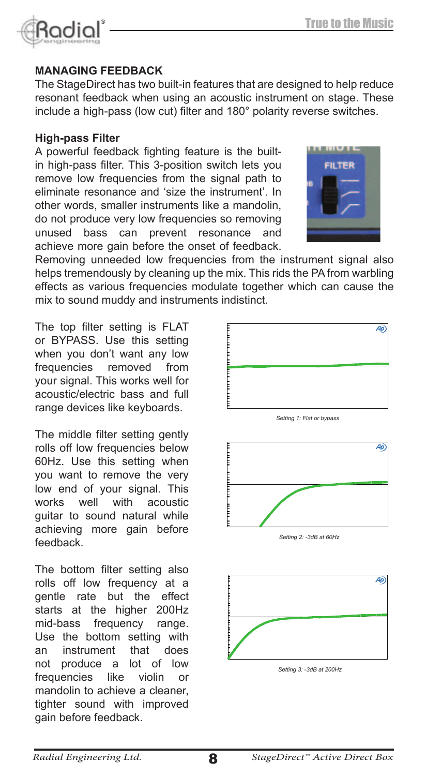# **MANAGING FEEDBACK**

The StageDirect has two built-in features that are designed to help reduce resonant feedback when using an acoustic instrument on stage. These include a high-pass (low cut) filter and 180° polarity reverse switches.

## **High-pass Filter**

A powerful feedback fighting feature is the builtin high-pass filter. This 3-position switch lets you remove low frequencies from the signal path to eliminate resonance and 'size the instrument'. In other words, smaller instruments like a mandolin, do not produce very low frequencies so removing unused bass can prevent resonance and achieve more gain before the onset of feedback.

Removing unneeded low frequencies from the instrument signal also helps tremendously by cleaning up the mix. This rids the PA from warbling effects as various frequencies modulate together which can cause the mix to sound muddy and instruments indistinct.

The top filter setting is FLAT or bypass. Use this setting when you don't want any low frequencies removed from your signal. This works well for acoustic/electric bass and full range devices like keyboards.

The middle filter setting gently rolls off low frequencies below 60Hz. Use this setting when you want to remove the very low end of your signal. This<br>works well with acoustic  $works$  well guitar to sound natural while achieving more gain before feedback.

The bottom filter setting also rolls off low frequency at a gentle rate but the effect starts at the higher 200Hz mid-bass frequency range. Use the bottom setting with<br>an instrument that does an instrument that does not produce a lot of low frequencies like violin or mandolin to achieve a cleaner, tighter sound with improved gain before feedback.



Ap



Setting 2: -3dB at 60Hz

Setting 3: -3dB at 200Hz





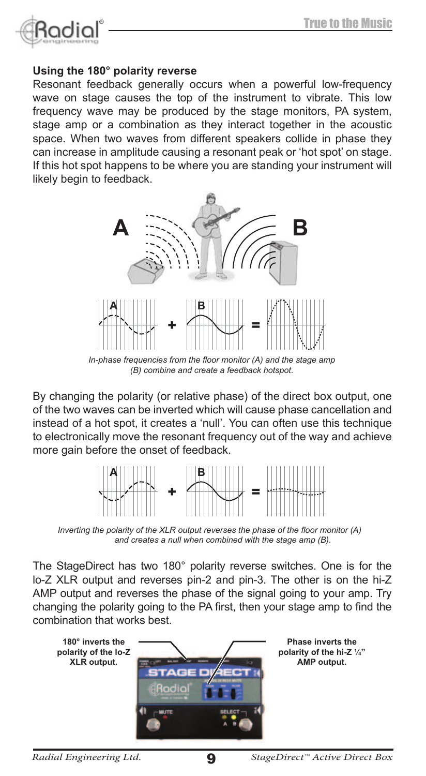

#### **using the 180° polarity reverse**

Resonant feedback generally occurs when a powerful low-frequency wave on stage causes the top of the instrument to vibrate. This low frequency wave may be produced by the stage monitors, PA system, stage amp or a combination as they interact together in the acoustic space. When two waves from different speakers collide in phase they can increase in amplitude causing a resonant peak or 'hot spot' on stage. If this hot spot happens to be where you are standing your instrument will likely begin to feedback.



**A B** *(B) combine and create a feedback hotspot.*

By changing the polarity (or relative phase) of the direct box output, one of the two waves can be inverted which will cause phase cancellation and **A B** instead of a hot spot, it creates a 'null'. You can often use this technique to electronically move the resonant frequency out of the way and achieve more gain before the onset of feedback.



*Inverting the polarity of the XLR output reverses the phase of the floor monitor (A) and creates a null when combined with the stage amp (B).*

The StageDirect has two 180° polarity reverse switches. One is for the lo-Z XLR output and reverses pin-2 and pin-3. The other is on the hi-Z AMP output and reverses the phase of the signal going to your amp. Try changing the polarity going to the PA first, then your stage amp to find the combination that works best.

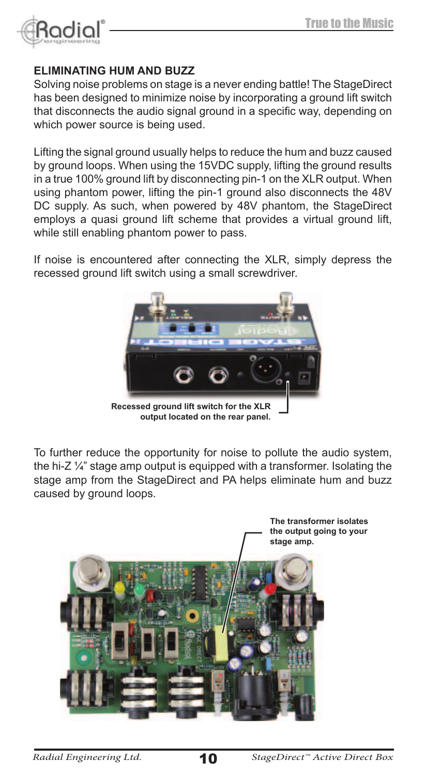

#### **ELIMInATInG HuM And BuZZ**

Solving noise problems on stage is a never ending battle! The StageDirect has been designed to minimize noise by incorporating a ground lift switch that disconnects the audio signal ground in a specific way, depending on which power source is being used.

Lifting the signal ground usually helps to reduce the hum and buzz caused by ground loops. When using the 15VDC supply, lifting the ground results in a true 100% ground lift by disconnecting pin-1 on the XLR output. When using phantom power, lifting the pin-1 ground also disconnects the 48V DC supply. As such, when powered by 48V phantom, the StageDirect employs a quasi ground lift scheme that provides a virtual ground lift, while still enabling phantom power to pass.

If noise is encountered after connecting the XLR, simply depress the recessed ground lift switch using a small screwdriver.



**recessed ground lift switch for the XLr output located on the rear panel.**

To further reduce the opportunity for noise to pollute the audio system, the hi-Z ¼" stage amp output is equipped with a transformer. Isolating the stage amp from the StageDirect and PA helps eliminate hum and buzz caused by ground loops.

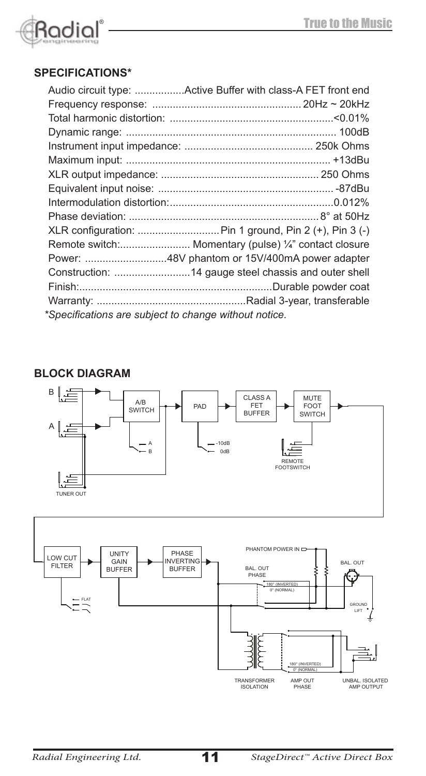

# **Specifications\***

|                                                       | Remote switch: Momentary (pulse) 1/4" contact closure |  |
|-------------------------------------------------------|-------------------------------------------------------|--|
|                                                       |                                                       |  |
|                                                       |                                                       |  |
|                                                       |                                                       |  |
|                                                       |                                                       |  |
| *Specifications are subject to change without notice. |                                                       |  |

# **BLOCK DIAGRA**